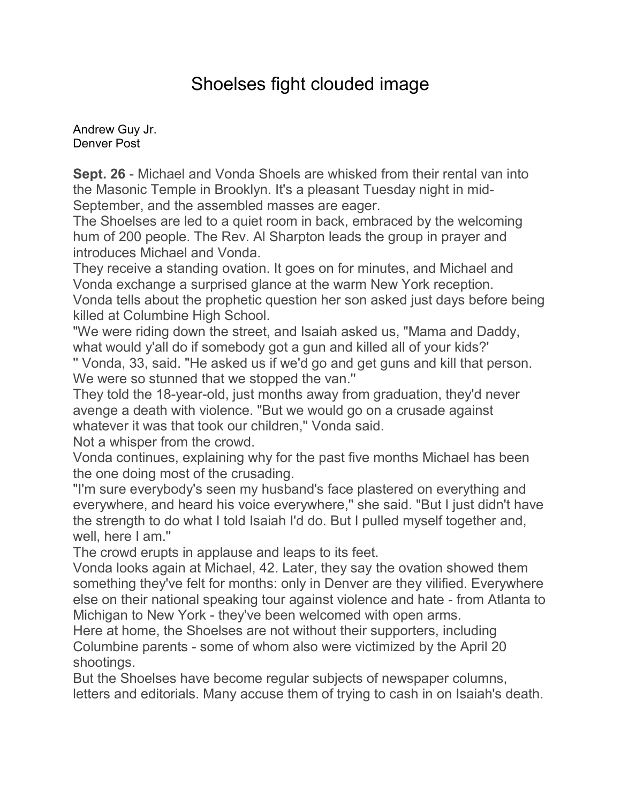## Shoelses fight clouded image

[Andrew Guy Jr.](mailto:newsroom@denverpost.com) Denver Post

**Sept. 26** - Michael and Vonda Shoels are whisked from their rental van into the Masonic Temple in Brooklyn. It's a pleasant Tuesday night in mid-September, and the assembled masses are eager.

The Shoelses are led to a quiet room in back, embraced by the welcoming hum of 200 people. The Rev. Al Sharpton leads the group in prayer and introduces Michael and Vonda.

They receive a standing ovation. It goes on for minutes, and Michael and Vonda exchange a surprised glance at the warm New York reception. Vonda tells about the prophetic question her son asked just days before being killed at Columbine High School.

"We were riding down the street, and Isaiah asked us, "Mama and Daddy, what would y'all do if somebody got a gun and killed all of your kids?' '' Vonda, 33, said. "He asked us if we'd go and get guns and kill that person.

We were so stunned that we stopped the van." They told the 18-year-old, just months away from graduation, they'd never

avenge a death with violence. "But we would go on a crusade against whatever it was that took our children,'' Vonda said.

Not a whisper from the crowd.

Vonda continues, explaining why for the past five months Michael has been the one doing most of the crusading.

"I'm sure everybody's seen my husband's face plastered on everything and everywhere, and heard his voice everywhere,'' she said. "But I just didn't have the strength to do what I told Isaiah I'd do. But I pulled myself together and, well, here I am.''

The crowd erupts in applause and leaps to its feet.

Vonda looks again at Michael, 42. Later, they say the ovation showed them something they've felt for months: only in Denver are they vilified. Everywhere else on their national speaking tour against violence and hate - from Atlanta to Michigan to New York - they've been welcomed with open arms.

Here at home, the Shoelses are not without their supporters, including Columbine parents - some of whom also were victimized by the April 20 shootings.

But the Shoelses have become regular subjects of newspaper columns, letters and editorials. Many accuse them of trying to cash in on Isaiah's death.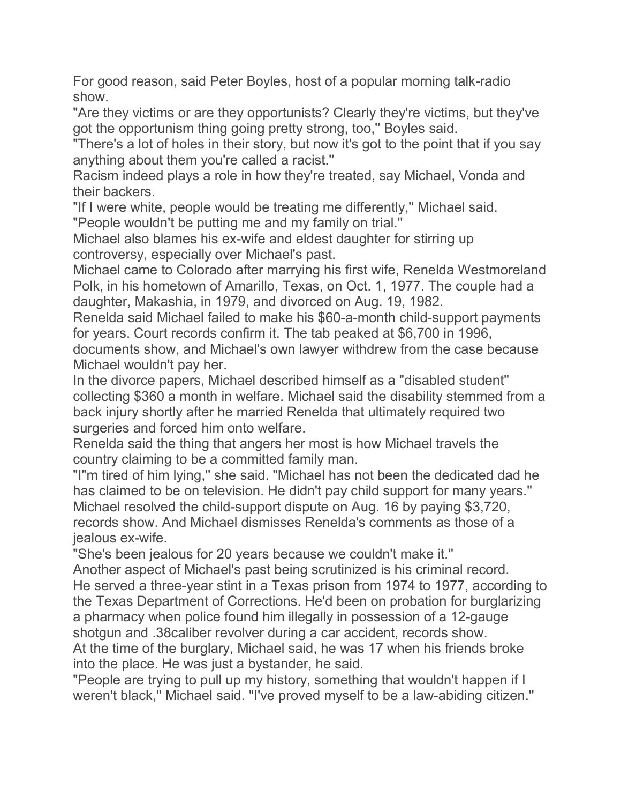For good reason, said Peter Boyles, host of a popular morning talk-radio show.

"Are they victims or are they opportunists? Clearly they're victims, but they've got the opportunism thing going pretty strong, too,'' Boyles said.

"There's a lot of holes in their story, but now it's got to the point that if you say anything about them you're called a racist.''

Racism indeed plays a role in how they're treated, say Michael, Vonda and their backers.

"If I were white, people would be treating me differently,'' Michael said. "People wouldn't be putting me and my family on trial.''

Michael also blames his ex-wife and eldest daughter for stirring up controversy, especially over Michael's past.

Michael came to Colorado after marrying his first wife, Renelda Westmoreland Polk, in his hometown of Amarillo, Texas, on Oct. 1, 1977. The couple had a daughter, Makashia, in 1979, and divorced on Aug. 19, 1982.

Renelda said Michael failed to make his \$60-a-month child-support payments for years. Court records confirm it. The tab peaked at \$6,700 in 1996, documents show, and Michael's own lawyer withdrew from the case because

Michael wouldn't pay her. In the divorce papers, Michael described himself as a "disabled student'' collecting \$360 a month in welfare. Michael said the disability stemmed from a back injury shortly after he married Renelda that ultimately required two

surgeries and forced him onto welfare.

Renelda said the thing that angers her most is how Michael travels the country claiming to be a committed family man.

"I"m tired of him lying,'' she said. "Michael has not been the dedicated dad he has claimed to be on television. He didn't pay child support for many years.'' Michael resolved the child-support dispute on Aug. 16 by paying \$3,720, records show. And Michael dismisses Renelda's comments as those of a jealous ex-wife.

"She's been jealous for 20 years because we couldn't make it.''

Another aspect of Michael's past being scrutinized is his criminal record. He served a three-year stint in a Texas prison from 1974 to 1977, according to the Texas Department of Corrections. He'd been on probation for burglarizing a pharmacy when police found him illegally in possession of a 12-gauge shotgun and .38caliber revolver during a car accident, records show. At the time of the burglary, Michael said, he was 17 when his friends broke into the place. He was just a bystander, he said.

"People are trying to pull up my history, something that wouldn't happen if I weren't black,'' Michael said. "I've proved myself to be a law-abiding citizen.''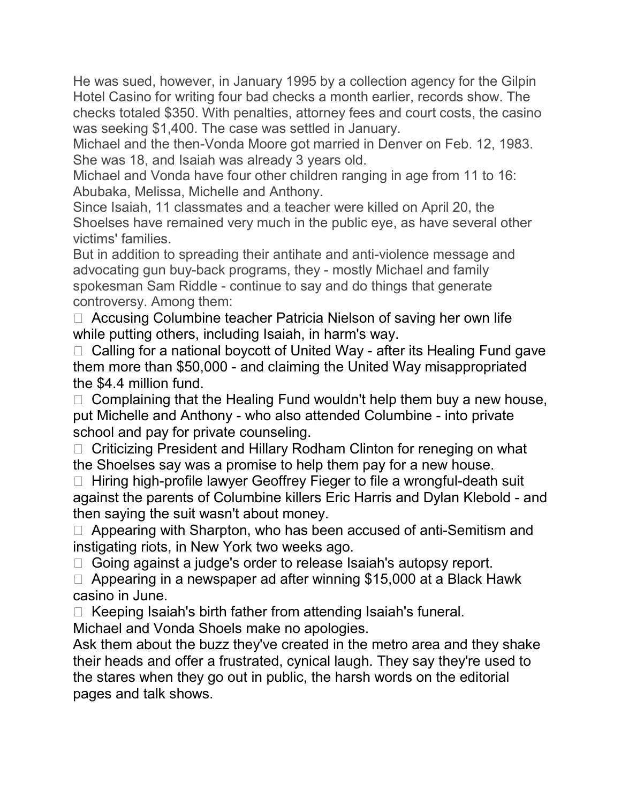He was sued, however, in January 1995 by a collection agency for the Gilpin Hotel Casino for writing four bad checks a month earlier, records show. The checks totaled \$350. With penalties, attorney fees and court costs, the casino was seeking \$1,400. The case was settled in January.

Michael and the then-Vonda Moore got married in Denver on Feb. 12, 1983. She was 18, and Isaiah was already 3 years old.

Michael and Vonda have four other children ranging in age from 11 to 16: Abubaka, Melissa, Michelle and Anthony.

Since Isaiah, 11 classmates and a teacher were killed on April 20, the Shoelses have remained very much in the public eye, as have several other victims' families.

But in addition to spreading their antihate and anti-violence message and advocating gun buy-back programs, they - mostly Michael and family spokesman Sam Riddle - continue to say and do things that generate controversy. Among them:

 $\Box$  Accusing Columbine teacher Patricia Nielson of saving her own life while putting others, including Isaiah, in harm's way.

 $\Box$  Calling for a national boycott of United Way - after its Healing Fund gave them more than \$50,000 - and claiming the United Way misappropriated the \$4.4 million fund.

 $\Box$  Complaining that the Healing Fund wouldn't help them buy a new house, put Michelle and Anthony - who also attended Columbine - into private school and pay for private counseling.

 $\Box$  Criticizing President and Hillary Rodham Clinton for reneging on what the Shoelses say was a promise to help them pay for a new house.

 $\Box$  Hiring high-profile lawyer Geoffrey Fieger to file a wrongful-death suit against the parents of Columbine killers Eric Harris and Dylan Klebold - and then saying the suit wasn't about money.

□ Appearing with Sharpton, who has been accused of anti-Semitism and instigating riots, in New York two weeks ago.

□ Going against a judge's order to release Isaiah's autopsy report.

 $\Box$  Appearing in a newspaper ad after winning \$15,000 at a Black Hawk casino in June.

 $\Box$  Keeping Isaiah's birth father from attending Isaiah's funeral.

Michael and Vonda Shoels make no apologies.

Ask them about the buzz they've created in the metro area and they shake their heads and offer a frustrated, cynical laugh. They say they're used to the stares when they go out in public, the harsh words on the editorial pages and talk shows.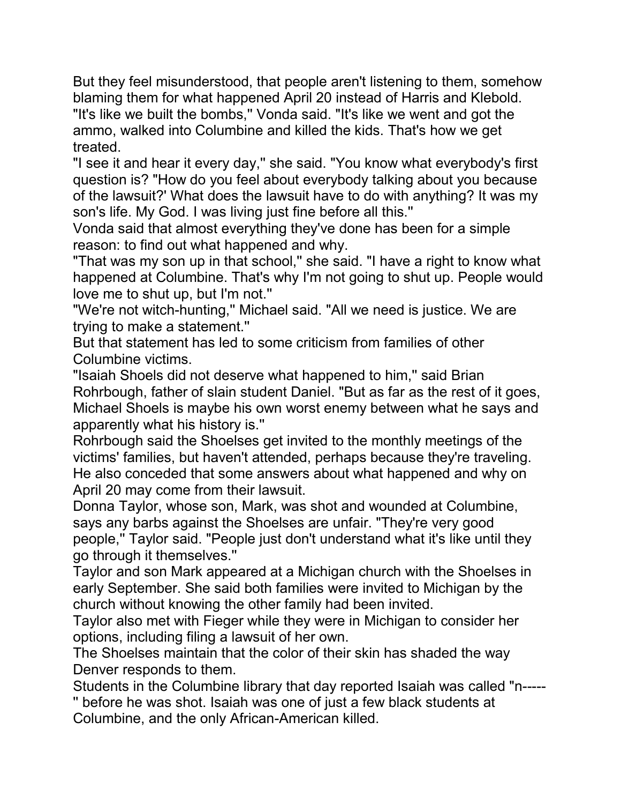But they feel misunderstood, that people aren't listening to them, somehow blaming them for what happened April 20 instead of Harris and Klebold. "It's like we built the bombs,'' Vonda said. "It's like we went and got the ammo, walked into Columbine and killed the kids. That's how we get treated.

"I see it and hear it every day,'' she said. "You know what everybody's first question is? "How do you feel about everybody talking about you because of the lawsuit?' What does the lawsuit have to do with anything? It was my son's life. My God. I was living just fine before all this.''

Vonda said that almost everything they've done has been for a simple reason: to find out what happened and why.

"That was my son up in that school,'' she said. "I have a right to know what happened at Columbine. That's why I'm not going to shut up. People would love me to shut up, but I'm not.''

"We're not witch-hunting,'' Michael said. "All we need is justice. We are trying to make a statement.''

But that statement has led to some criticism from families of other Columbine victims.

"Isaiah Shoels did not deserve what happened to him,'' said Brian Rohrbough, father of slain student Daniel. "But as far as the rest of it goes, Michael Shoels is maybe his own worst enemy between what he says and apparently what his history is.''

Rohrbough said the Shoelses get invited to the monthly meetings of the victims' families, but haven't attended, perhaps because they're traveling. He also conceded that some answers about what happened and why on April 20 may come from their lawsuit.

Donna Taylor, whose son, Mark, was shot and wounded at Columbine, says any barbs against the Shoelses are unfair. "They're very good people,'' Taylor said. "People just don't understand what it's like until they go through it themselves.''

Taylor and son Mark appeared at a Michigan church with the Shoelses in early September. She said both families were invited to Michigan by the church without knowing the other family had been invited.

Taylor also met with Fieger while they were in Michigan to consider her options, including filing a lawsuit of her own.

The Shoelses maintain that the color of their skin has shaded the way Denver responds to them.

Students in the Columbine library that day reported Isaiah was called "n----- '' before he was shot. Isaiah was one of just a few black students at Columbine, and the only African-American killed.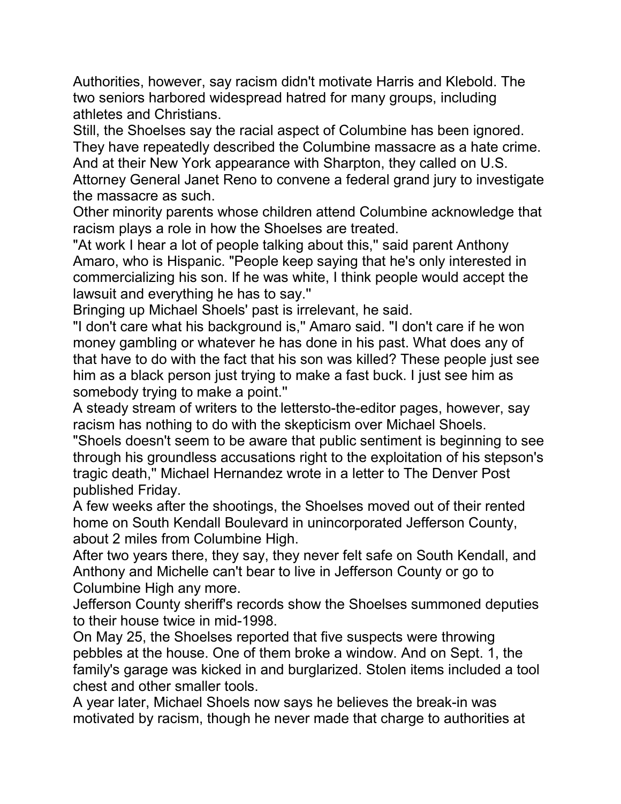Authorities, however, say racism didn't motivate Harris and Klebold. The two seniors harbored widespread hatred for many groups, including athletes and Christians.

Still, the Shoelses say the racial aspect of Columbine has been ignored. They have repeatedly described the Columbine massacre as a hate crime. And at their New York appearance with Sharpton, they called on U.S. Attorney General Janet Reno to convene a federal grand jury to investigate the massacre as such.

Other minority parents whose children attend Columbine acknowledge that racism plays a role in how the Shoelses are treated.

"At work I hear a lot of people talking about this," said parent Anthony Amaro, who is Hispanic. "People keep saying that he's only interested in commercializing his son. If he was white, I think people would accept the lawsuit and everything he has to say.''

Bringing up Michael Shoels' past is irrelevant, he said.

"I don't care what his background is,'' Amaro said. "I don't care if he won money gambling or whatever he has done in his past. What does any of that have to do with the fact that his son was killed? These people just see him as a black person just trying to make a fast buck. I just see him as somebody trying to make a point.''

A steady stream of writers to the lettersto-the-editor pages, however, say racism has nothing to do with the skepticism over Michael Shoels.

"Shoels doesn't seem to be aware that public sentiment is beginning to see through his groundless accusations right to the exploitation of his stepson's tragic death,'' Michael Hernandez wrote in a letter to The Denver Post published Friday.

A few weeks after the shootings, the Shoelses moved out of their rented home on South Kendall Boulevard in unincorporated Jefferson County, about 2 miles from Columbine High.

After two years there, they say, they never felt safe on South Kendall, and Anthony and Michelle can't bear to live in Jefferson County or go to Columbine High any more.

Jefferson County sheriff's records show the Shoelses summoned deputies to their house twice in mid-1998.

On May 25, the Shoelses reported that five suspects were throwing pebbles at the house. One of them broke a window. And on Sept. 1, the family's garage was kicked in and burglarized. Stolen items included a tool chest and other smaller tools.

A year later, Michael Shoels now says he believes the break-in was motivated by racism, though he never made that charge to authorities at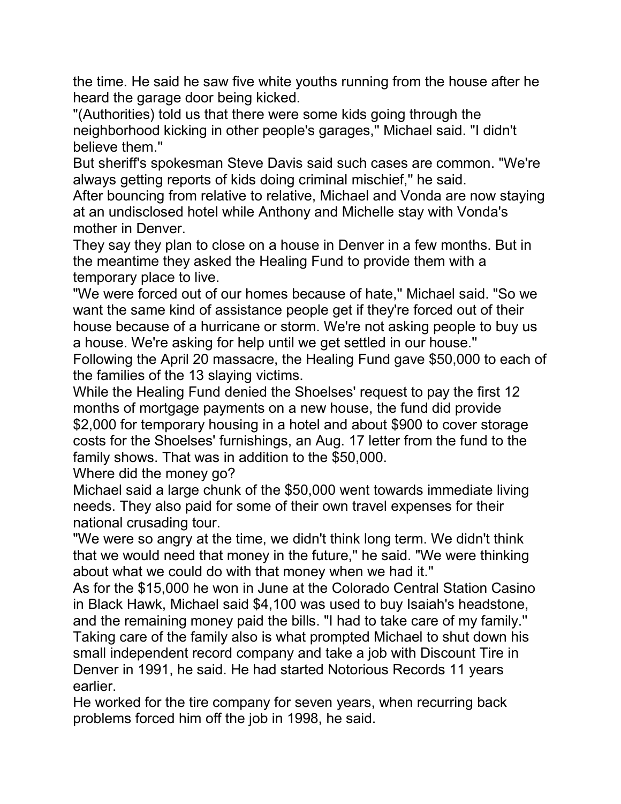the time. He said he saw five white youths running from the house after he heard the garage door being kicked.

"(Authorities) told us that there were some kids going through the neighborhood kicking in other people's garages,'' Michael said. "I didn't believe them.''

But sheriff's spokesman Steve Davis said such cases are common. "We're always getting reports of kids doing criminal mischief,'' he said.

After bouncing from relative to relative, Michael and Vonda are now staying at an undisclosed hotel while Anthony and Michelle stay with Vonda's mother in Denver.

They say they plan to close on a house in Denver in a few months. But in the meantime they asked the Healing Fund to provide them with a temporary place to live.

"We were forced out of our homes because of hate,'' Michael said. "So we want the same kind of assistance people get if they're forced out of their house because of a hurricane or storm. We're not asking people to buy us a house. We're asking for help until we get settled in our house.''

Following the April 20 massacre, the Healing Fund gave \$50,000 to each of the families of the 13 slaying victims.

While the Healing Fund denied the Shoelses' request to pay the first 12 months of mortgage payments on a new house, the fund did provide \$2,000 for temporary housing in a hotel and about \$900 to cover storage costs for the Shoelses' furnishings, an Aug. 17 letter from the fund to the family shows. That was in addition to the \$50,000.

Where did the money go?

Michael said a large chunk of the \$50,000 went towards immediate living needs. They also paid for some of their own travel expenses for their national crusading tour.

"We were so angry at the time, we didn't think long term. We didn't think that we would need that money in the future,'' he said. "We were thinking about what we could do with that money when we had it.''

As for the \$15,000 he won in June at the Colorado Central Station Casino in Black Hawk, Michael said \$4,100 was used to buy Isaiah's headstone, and the remaining money paid the bills. "I had to take care of my family.'' Taking care of the family also is what prompted Michael to shut down his small independent record company and take a job with Discount Tire in Denver in 1991, he said. He had started Notorious Records 11 years earlier.

He worked for the tire company for seven years, when recurring back problems forced him off the job in 1998, he said.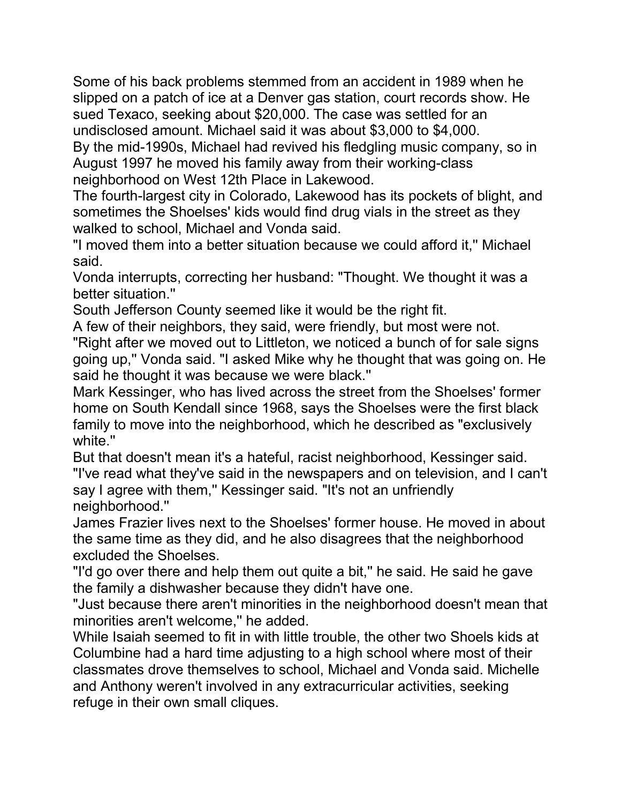Some of his back problems stemmed from an accident in 1989 when he slipped on a patch of ice at a Denver gas station, court records show. He sued Texaco, seeking about \$20,000. The case was settled for an undisclosed amount. Michael said it was about \$3,000 to \$4,000. By the mid-1990s, Michael had revived his fledgling music company, so in August 1997 he moved his family away from their working-class neighborhood on West 12th Place in Lakewood.

The fourth-largest city in Colorado, Lakewood has its pockets of blight, and sometimes the Shoelses' kids would find drug vials in the street as they walked to school, Michael and Vonda said.

"I moved them into a better situation because we could afford it,'' Michael said.

Vonda interrupts, correcting her husband: "Thought. We thought it was a better situation.''

South Jefferson County seemed like it would be the right fit.

A few of their neighbors, they said, were friendly, but most were not.

"Right after we moved out to Littleton, we noticed a bunch of for sale signs going up,'' Vonda said. "I asked Mike why he thought that was going on. He said he thought it was because we were black.''

Mark Kessinger, who has lived across the street from the Shoelses' former home on South Kendall since 1968, says the Shoelses were the first black family to move into the neighborhood, which he described as "exclusively white.''

But that doesn't mean it's a hateful, racist neighborhood, Kessinger said. "I've read what they've said in the newspapers and on television, and I can't say I agree with them," Kessinger said. "It's not an unfriendly neighborhood.''

James Frazier lives next to the Shoelses' former house. He moved in about the same time as they did, and he also disagrees that the neighborhood excluded the Shoelses.

"I'd go over there and help them out quite a bit,'' he said. He said he gave the family a dishwasher because they didn't have one.

"Just because there aren't minorities in the neighborhood doesn't mean that minorities aren't welcome,'' he added.

While Isaiah seemed to fit in with little trouble, the other two Shoels kids at Columbine had a hard time adjusting to a high school where most of their classmates drove themselves to school, Michael and Vonda said. Michelle and Anthony weren't involved in any extracurricular activities, seeking refuge in their own small cliques.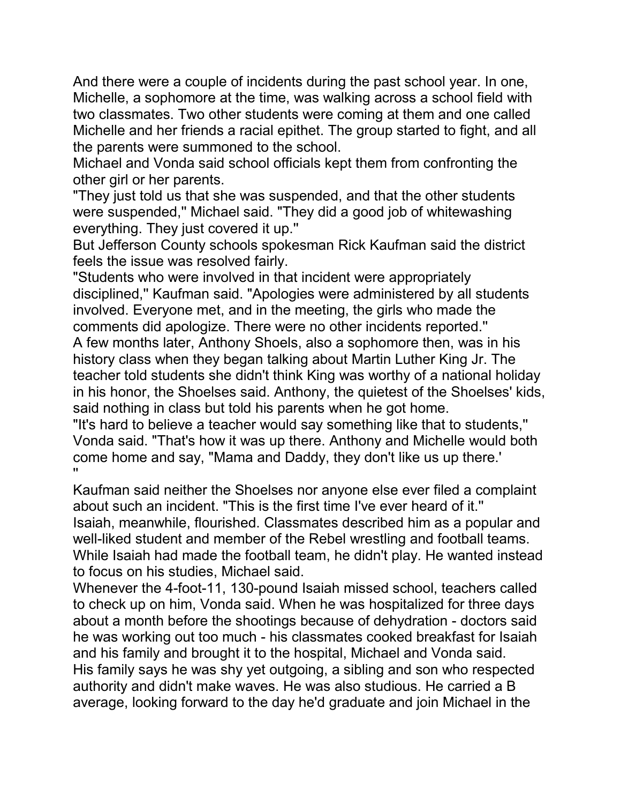And there were a couple of incidents during the past school year. In one, Michelle, a sophomore at the time, was walking across a school field with two classmates. Two other students were coming at them and one called Michelle and her friends a racial epithet. The group started to fight, and all the parents were summoned to the school.

Michael and Vonda said school officials kept them from confronting the other girl or her parents.

"They just told us that she was suspended, and that the other students were suspended,'' Michael said. "They did a good job of whitewashing everything. They just covered it up.''

But Jefferson County schools spokesman Rick Kaufman said the district feels the issue was resolved fairly.

"Students who were involved in that incident were appropriately disciplined,'' Kaufman said. "Apologies were administered by all students involved. Everyone met, and in the meeting, the girls who made the comments did apologize. There were no other incidents reported.''

A few months later, Anthony Shoels, also a sophomore then, was in his history class when they began talking about Martin Luther King Jr. The teacher told students she didn't think King was worthy of a national holiday in his honor, the Shoelses said. Anthony, the quietest of the Shoelses' kids, said nothing in class but told his parents when he got home.

"It's hard to believe a teacher would say something like that to students,'' Vonda said. "That's how it was up there. Anthony and Michelle would both come home and say, "Mama and Daddy, they don't like us up there.' ''

Kaufman said neither the Shoelses nor anyone else ever filed a complaint about such an incident. "This is the first time I've ever heard of it.'' Isaiah, meanwhile, flourished. Classmates described him as a popular and well-liked student and member of the Rebel wrestling and football teams. While Isaiah had made the football team, he didn't play. He wanted instead to focus on his studies, Michael said.

Whenever the 4-foot-11, 130-pound Isaiah missed school, teachers called to check up on him, Vonda said. When he was hospitalized for three days about a month before the shootings because of dehydration - doctors said he was working out too much - his classmates cooked breakfast for Isaiah and his family and brought it to the hospital, Michael and Vonda said. His family says he was shy yet outgoing, a sibling and son who respected authority and didn't make waves. He was also studious. He carried a B average, looking forward to the day he'd graduate and join Michael in the